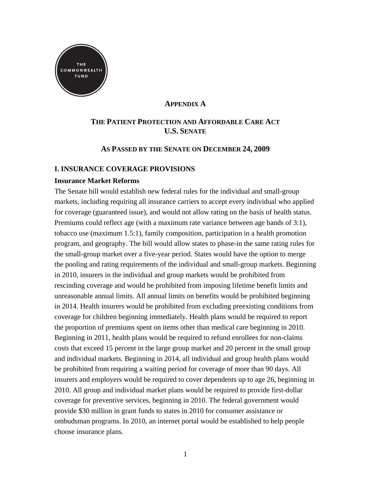

## **APPENDIX A**

# **THE PATIENT PROTECTION AND AFFORDABLE CARE ACT U.S. SENATE**

## **AS PASSED BY THE SENATE ON DECEMBER 24, 2009**

## **I. INSURANCE COVERAGE PROVISIONS**

## **Insurance Market Reforms**

The Senate bill would establish new federal rules for the individual and small-group markets, including requiring all insurance carriers to accept every individual who applied for coverage (guaranteed issue), and would not allow rating on the basis of health status. Premiums could reflect age (with a maximum rate variance between age bands of 3:1), tobacco use (maximum 1.5:1), family composition, participation in a health promotion program, and geography. The bill would allow states to phase-in the same rating rules for the small-group market over a five-year period. States would have the option to merge the pooling and rating requirements of the individual and small-group markets. Beginning in 2010, insurers in the individual and group markets would be prohibited from rescinding coverage and would be prohibited from imposing lifetime benefit limits and unreasonable annual limits. All annual limits on benefits would be prohibited beginning in 2014. Health insurers would be prohibited from excluding preexisting conditions from coverage for children beginning immediately. Health plans would be required to report the proportion of premiums spent on items other than medical care beginning in 2010. Beginning in 2011, health plans would be required to refund enrollees for non-claims costs that exceed 15 percent in the large group market and 20 percent in the small group and individual markets. Beginning in 2014, all individual and group health plans would be prohibited from requiring a waiting period for coverage of more than 90 days. All insurers and employers would be required to cover dependents up to age 26, beginning in 2010. All group and individual market plans would be required to provide first-dollar coverage for preventive services, beginning in 2010. The federal government would provide \$30 million in grant funds to states in 2010 for consumer assistance or ombudsman programs. In 2010, an internet portal would be established to help people choose insurance plans.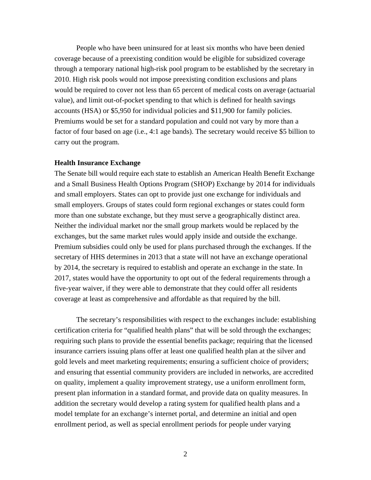People who have been uninsured for at least six months who have been denied coverage because of a preexisting condition would be eligible for subsidized coverage through a temporary national high-risk pool program to be established by the secretary in 2010. High risk pools would not impose preexisting condition exclusions and plans would be required to cover not less than 65 percent of medical costs on average (actuarial value), and limit out-of-pocket spending to that which is defined for health savings accounts (HSA) or \$5,950 for individual policies and \$11,900 for family policies. Premiums would be set for a standard population and could not vary by more than a factor of four based on age (i.e., 4:1 age bands). The secretary would receive \$5 billion to carry out the program.

### **Health Insurance Exchange**

The Senate bill would require each state to establish an American Health Benefit Exchange and a Small Business Health Options Program (SHOP) Exchange by 2014 for individuals and small employers. States can opt to provide just one exchange for individuals and small employers. Groups of states could form regional exchanges or states could form more than one substate exchange, but they must serve a geographically distinct area. Neither the individual market nor the small group markets would be replaced by the exchanges, but the same market rules would apply inside and outside the exchange. Premium subsidies could only be used for plans purchased through the exchanges. If the secretary of HHS determines in 2013 that a state will not have an exchange operational by 2014, the secretary is required to establish and operate an exchange in the state. In 2017, states would have the opportunity to opt out of the federal requirements through a five-year waiver, if they were able to demonstrate that they could offer all residents coverage at least as comprehensive and affordable as that required by the bill.

The secretary's responsibilities with respect to the exchanges include: establishing certification criteria for "qualified health plans" that will be sold through the exchanges; requiring such plans to provide the essential benefits package; requiring that the licensed insurance carriers issuing plans offer at least one qualified health plan at the silver and gold levels and meet marketing requirements; ensuring a sufficient choice of providers; and ensuring that essential community providers are included in networks, are accredited on quality, implement a quality improvement strategy, use a uniform enrollment form, present plan information in a standard format, and provide data on quality measures. In addition the secretary would develop a rating system for qualified health plans and a model template for an exchange's internet portal, and determine an initial and open enrollment period, as well as special enrollment periods for people under varying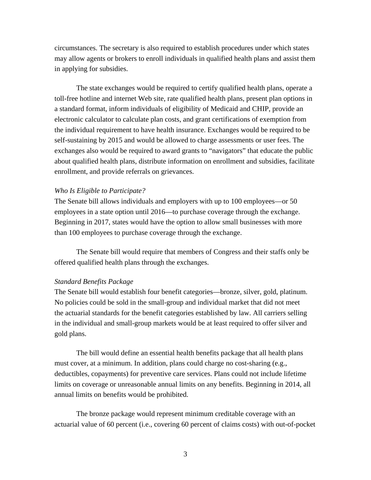circumstances. The secretary is also required to establish procedures under which states may allow agents or brokers to enroll individuals in qualified health plans and assist them in applying for subsidies.

The state exchanges would be required to certify qualified health plans, operate a toll-free hotline and internet Web site, rate qualified health plans, present plan options in a standard format, inform individuals of eligibility of Medicaid and CHIP, provide an electronic calculator to calculate plan costs, and grant certifications of exemption from the individual requirement to have health insurance. Exchanges would be required to be self-sustaining by 2015 and would be allowed to charge assessments or user fees. The exchanges also would be required to award grants to "navigators" that educate the public about qualified health plans, distribute information on enrollment and subsidies, facilitate enrollment, and provide referrals on grievances.

#### *Who Is Eligible to Participate?*

The Senate bill allows individuals and employers with up to 100 employees—or 50 employees in a state option until 2016—to purchase coverage through the exchange. Beginning in 2017, states would have the option to allow small businesses with more than 100 employees to purchase coverage through the exchange.

The Senate bill would require that members of Congress and their staffs only be offered qualified health plans through the exchanges.

#### *Standard Benefits Package*

The Senate bill would establish four benefit categories—bronze, silver, gold, platinum. No policies could be sold in the small-group and individual market that did not meet the actuarial standards for the benefit categories established by law. All carriers selling in the individual and small-group markets would be at least required to offer silver and gold plans.

The bill would define an essential health benefits package that all health plans must cover, at a minimum. In addition, plans could charge no cost-sharing (e.g., deductibles, copayments) for preventive care services. Plans could not include lifetime limits on coverage or unreasonable annual limits on any benefits. Beginning in 2014, all annual limits on benefits would be prohibited.

The bronze package would represent minimum creditable coverage with an actuarial value of 60 percent (i.e., covering 60 percent of claims costs) with out-of-pocket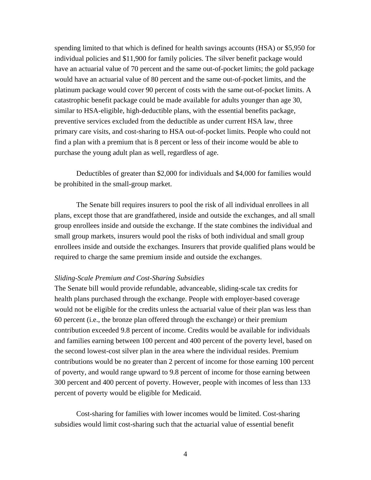spending limited to that which is defined for health savings accounts (HSA) or \$5,950 for individual policies and \$11,900 for family policies. The silver benefit package would have an actuarial value of 70 percent and the same out-of-pocket limits; the gold package would have an actuarial value of 80 percent and the same out-of-pocket limits, and the platinum package would cover 90 percent of costs with the same out-of-pocket limits. A catastrophic benefit package could be made available for adults younger than age 30, similar to HSA-eligible, high-deductible plans, with the essential benefits package, preventive services excluded from the deductible as under current HSA law, three primary care visits, and cost-sharing to HSA out-of-pocket limits. People who could not find a plan with a premium that is 8 percent or less of their income would be able to purchase the young adult plan as well, regardless of age.

Deductibles of greater than \$2,000 for individuals and \$4,000 for families would be prohibited in the small-group market.

The Senate bill requires insurers to pool the risk of all individual enrollees in all plans, except those that are grandfathered, inside and outside the exchanges, and all small group enrollees inside and outside the exchange. If the state combines the individual and small group markets, insurers would pool the risks of both individual and small group enrollees inside and outside the exchanges. Insurers that provide qualified plans would be required to charge the same premium inside and outside the exchanges.

#### *Sliding-Scale Premium and Cost-Sharing Subsidies*

The Senate bill would provide refundable, advanceable, sliding-scale tax credits for health plans purchased through the exchange. People with employer-based coverage would not be eligible for the credits unless the actuarial value of their plan was less than 60 percent (i.e., the bronze plan offered through the exchange) or their premium contribution exceeded 9.8 percent of income. Credits would be available for individuals and families earning between 100 percent and 400 percent of the poverty level, based on the second lowest-cost silver plan in the area where the individual resides. Premium contributions would be no greater than 2 percent of income for those earning 100 percent of poverty, and would range upward to 9.8 percent of income for those earning between 300 percent and 400 percent of poverty. However, people with incomes of less than 133 percent of poverty would be eligible for Medicaid.

Cost-sharing for families with lower incomes would be limited. Cost-sharing subsidies would limit cost-sharing such that the actuarial value of essential benefit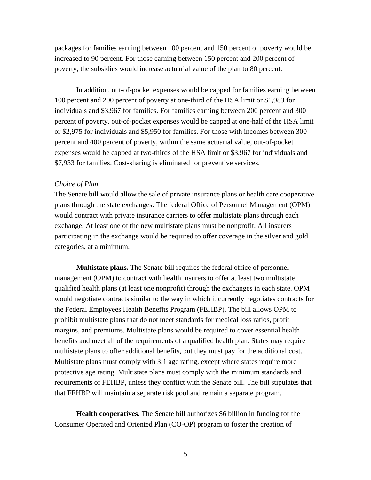packages for families earning between 100 percent and 150 percent of poverty would be increased to 90 percent. For those earning between 150 percent and 200 percent of poverty, the subsidies would increase actuarial value of the plan to 80 percent.

In addition, out-of-pocket expenses would be capped for families earning between 100 percent and 200 percent of poverty at one-third of the HSA limit or \$1,983 for individuals and \$3,967 for families. For families earning between 200 percent and 300 percent of poverty, out-of-pocket expenses would be capped at one-half of the HSA limit or \$2,975 for individuals and \$5,950 for families. For those with incomes between 300 percent and 400 percent of poverty, within the same actuarial value, out-of-pocket expenses would be capped at two-thirds of the HSA limit or \$3,967 for individuals and \$7,933 for families. Cost-sharing is eliminated for preventive services.

#### *Choice of Plan*

The Senate bill would allow the sale of private insurance plans or health care cooperative plans through the state exchanges. The federal Office of Personnel Management (OPM) would contract with private insurance carriers to offer multistate plans through each exchange. At least one of the new multistate plans must be nonprofit. All insurers participating in the exchange would be required to offer coverage in the silver and gold categories, at a minimum.

**Multistate plans.** The Senate bill requires the federal office of personnel management (OPM) to contract with health insurers to offer at least two multistate qualified health plans (at least one nonprofit) through the exchanges in each state. OPM would negotiate contracts similar to the way in which it currently negotiates contracts for the Federal Employees Health Benefits Program (FEHBP). The bill allows OPM to prohibit multistate plans that do not meet standards for medical loss ratios, profit margins, and premiums. Multistate plans would be required to cover essential health benefits and meet all of the requirements of a qualified health plan. States may require multistate plans to offer additional benefits, but they must pay for the additional cost. Multistate plans must comply with 3:1 age rating, except where states require more protective age rating. Multistate plans must comply with the minimum standards and requirements of FEHBP, unless they conflict with the Senate bill. The bill stipulates that that FEHBP will maintain a separate risk pool and remain a separate program.

**Health cooperatives.** The Senate bill authorizes \$6 billion in funding for the Consumer Operated and Oriented Plan (CO-OP) program to foster the creation of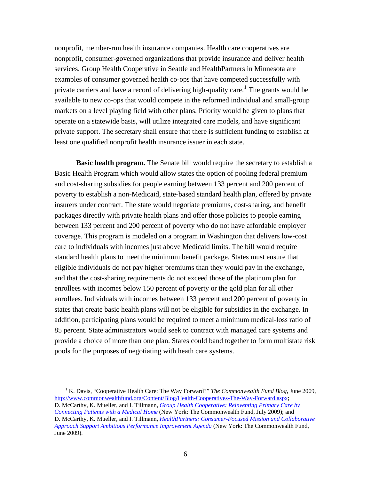nonprofit, member-run health insurance companies. Health care cooperatives are nonprofit, consumer-governed organizations that provide insurance and deliver health services. Group Health Cooperative in Seattle and HealthPartners in Minnesota are examples of consumer governed health co-ops that have competed successfully with private carriers and have a record of delivering high-quality care.<sup>1</sup> The grants would be available to new co-ops that would compete in the reformed individual and small-group markets on a level playing field with other plans. Priority would be given to plans that operate on a statewide basis, will utilize integrated care models, and have significant private support. The secretary shall ensure that there is sufficient funding to establish at least one qualified nonprofit health insurance issuer in each state.

**Basic health program.** The Senate bill would require the secretary to establish a Basic Health Program which would allow states the option of pooling federal premium and cost-sharing subsidies for people earning between 133 percent and 200 percent of poverty to establish a non-Medicaid, state-based standard health plan, offered by private insurers under contract. The state would negotiate premiums, cost-sharing, and benefit packages directly with private health plans and offer those policies to people earning between 133 percent and 200 percent of poverty who do not have affordable employer coverage. This program is modeled on a program in Washington that delivers low-cost care to individuals with incomes just above Medicaid limits. The bill would require standard health plans to meet the minimum benefit package. States must ensure that eligible individuals do not pay higher premiums than they would pay in the exchange, and that the cost-sharing requirements do not exceed those of the platinum plan for enrollees with incomes below 150 percent of poverty or the gold plan for all other enrollees. Individuals with incomes between 133 percent and 200 percent of poverty in states that create basic health plans will not be eligible for subsidies in the exchange. In addition, participating plans would be required to meet a minimum medical-loss ratio of 85 percent. State administrators would seek to contract with managed care systems and provide a choice of more than one plan. States could band together to form multistate risk pools for the purposes of negotiating with heath care systems.

 <sup>1</sup> <sup>1</sup> K. Davis, "Cooperative Health Care: The Way Forward?" *The Commonwealth Fund Blog*, June 2009, <http://www.commonwealthfund.org/Content/Blog/Health-Cooperatives-The-Way-Forward.aspx>; D. McCarthy, K. Mueller, and I. Tillmann, *[Group Health Cooperative: Reinventing Primary Care by](http://www.commonwealthfund.org/Content/Publications/Case-Studies/2009/Jul/Group-Health-Cooperative-Reinventing-Primary-Care-by-Connecting-Patients-with-a-Medical-Home.aspx)  [Connecting Patients with a Medical Home](http://www.commonwealthfund.org/Content/Publications/Case-Studies/2009/Jul/Group-Health-Cooperative-Reinventing-Primary-Care-by-Connecting-Patients-with-a-Medical-Home.aspx)* (New York: The Commonwealth Fund, July 2009); and D. McCarthy, K. Mueller, and I. Tillmann, *[HealthPartners: Consumer-Focused Mission and Collaborative](http://www.commonwealthfund.org/Content/Publications/Case-Studies/2009/Jun/HealthPartners-Consumer-Focused-Mission.aspx)  [Approach Support Ambitious Performance Improvement Agenda](http://www.commonwealthfund.org/Content/Publications/Case-Studies/2009/Jun/HealthPartners-Consumer-Focused-Mission.aspx)* (New York: The Commonwealth Fund, June 2009).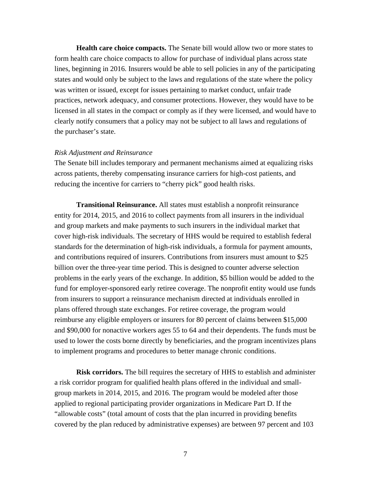**Health care choice compacts.** The Senate bill would allow two or more states to form health care choice compacts to allow for purchase of individual plans across state lines, beginning in 2016. Insurers would be able to sell policies in any of the participating states and would only be subject to the laws and regulations of the state where the policy was written or issued, except for issues pertaining to market conduct, unfair trade practices, network adequacy, and consumer protections. However, they would have to be licensed in all states in the compact or comply as if they were licensed, and would have to clearly notify consumers that a policy may not be subject to all laws and regulations of the purchaser's state.

#### *Risk Adjustment and Reinsurance*

The Senate bill includes temporary and permanent mechanisms aimed at equalizing risks across patients, thereby compensating insurance carriers for high-cost patients, and reducing the incentive for carriers to "cherry pick" good health risks.

**Transitional Reinsurance.** All states must establish a nonprofit reinsurance entity for 2014, 2015, and 2016 to collect payments from all insurers in the individual and group markets and make payments to such insurers in the individual market that cover high-risk individuals. The secretary of HHS would be required to establish federal standards for the determination of high-risk individuals, a formula for payment amounts, and contributions required of insurers. Contributions from insurers must amount to \$25 billion over the three-year time period. This is designed to counter adverse selection problems in the early years of the exchange. In addition, \$5 billion would be added to the fund for employer-sponsored early retiree coverage. The nonprofit entity would use funds from insurers to support a reinsurance mechanism directed at individuals enrolled in plans offered through state exchanges. For retiree coverage, the program would reimburse any eligible employers or insurers for 80 percent of claims between \$15,000 and \$90,000 for nonactive workers ages 55 to 64 and their dependents. The funds must be used to lower the costs borne directly by beneficiaries, and the program incentivizes plans to implement programs and procedures to better manage chronic conditions.

**Risk corridors.** The bill requires the secretary of HHS to establish and administer a risk corridor program for qualified health plans offered in the individual and smallgroup markets in 2014, 2015, and 2016. The program would be modeled after those applied to regional participating provider organizations in Medicare Part D. If the "allowable costs" (total amount of costs that the plan incurred in providing benefits covered by the plan reduced by administrative expenses) are between 97 percent and 103

7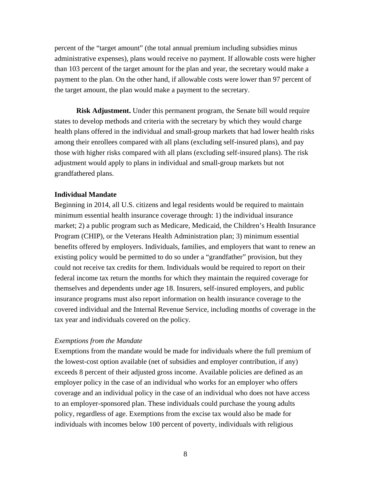percent of the "target amount" (the total annual premium including subsidies minus administrative expenses), plans would receive no payment. If allowable costs were higher than 103 percent of the target amount for the plan and year, the secretary would make a payment to the plan. On the other hand, if allowable costs were lower than 97 percent of the target amount, the plan would make a payment to the secretary.

**Risk Adjustment.** Under this permanent program, the Senate bill would require states to develop methods and criteria with the secretary by which they would charge health plans offered in the individual and small-group markets that had lower health risks among their enrollees compared with all plans (excluding self-insured plans), and pay those with higher risks compared with all plans (excluding self-insured plans). The risk adjustment would apply to plans in individual and small-group markets but not grandfathered plans.

#### **Individual Mandate**

Beginning in 2014, all U.S. citizens and legal residents would be required to maintain minimum essential health insurance coverage through: 1) the individual insurance market; 2) a public program such as Medicare, Medicaid, the Children's Health Insurance Program (CHIP), or the Veterans Health Administration plan; 3) minimum essential benefits offered by employers. Individuals, families, and employers that want to renew an existing policy would be permitted to do so under a "grandfather" provision, but they could not receive tax credits for them. Individuals would be required to report on their federal income tax return the months for which they maintain the required coverage for themselves and dependents under age 18. Insurers, self-insured employers, and public insurance programs must also report information on health insurance coverage to the covered individual and the Internal Revenue Service, including months of coverage in the tax year and individuals covered on the policy.

#### *Exemptions from the Mandate*

Exemptions from the mandate would be made for individuals where the full premium of the lowest-cost option available (net of subsidies and employer contribution, if any) exceeds 8 percent of their adjusted gross income. Available policies are defined as an employer policy in the case of an individual who works for an employer who offers coverage and an individual policy in the case of an individual who does not have access to an employer-sponsored plan. These individuals could purchase the young adults policy, regardless of age. Exemptions from the excise tax would also be made for individuals with incomes below 100 percent of poverty, individuals with religious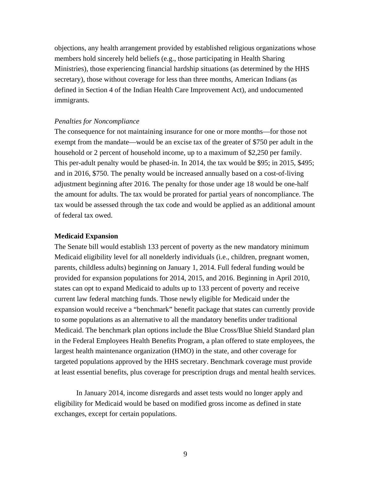objections, any health arrangement provided by established religious organizations whose members hold sincerely held beliefs (e.g., those participating in Health Sharing Ministries), those experiencing financial hardship situations (as determined by the HHS secretary), those without coverage for less than three months, American Indians (as defined in Section 4 of the Indian Health Care Improvement Act), and undocumented immigrants.

### *Penalties for Noncompliance*

The consequence for not maintaining insurance for one or more months—for those not exempt from the mandate—would be an excise tax of the greater of \$750 per adult in the household or 2 percent of household income, up to a maximum of \$2,250 per family. This per-adult penalty would be phased-in. In 2014, the tax would be \$95; in 2015, \$495; and in 2016, \$750. The penalty would be increased annually based on a cost-of-living adjustment beginning after 2016. The penalty for those under age 18 would be one-half the amount for adults. The tax would be prorated for partial years of noncompliance. The tax would be assessed through the tax code and would be applied as an additional amount of federal tax owed.

#### **Medicaid Expansion**

The Senate bill would establish 133 percent of poverty as the new mandatory minimum Medicaid eligibility level for all nonelderly individuals (i.e., children, pregnant women, parents, childless adults) beginning on January 1, 2014. Full federal funding would be provided for expansion populations for 2014, 2015, and 2016. Beginning in April 2010, states can opt to expand Medicaid to adults up to 133 percent of poverty and receive current law federal matching funds. Those newly eligible for Medicaid under the expansion would receive a "benchmark" benefit package that states can currently provide to some populations as an alternative to all the mandatory benefits under traditional Medicaid. The benchmark plan options include the Blue Cross/Blue Shield Standard plan in the Federal Employees Health Benefits Program, a plan offered to state employees, the largest health maintenance organization (HMO) in the state, and other coverage for targeted populations approved by the HHS secretary. Benchmark coverage must provide at least essential benefits, plus coverage for prescription drugs and mental health services.

In January 2014, income disregards and asset tests would no longer apply and eligibility for Medicaid would be based on modified gross income as defined in state exchanges, except for certain populations.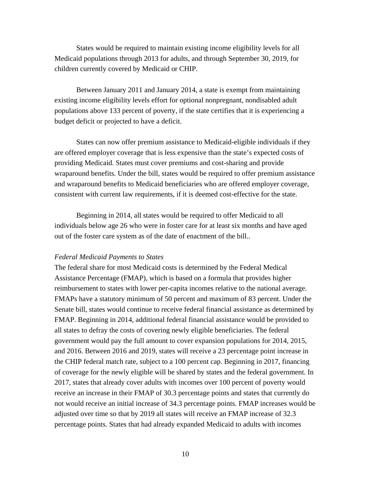States would be required to maintain existing income eligibility levels for all Medicaid populations through 2013 for adults, and through September 30, 2019, for children currently covered by Medicaid or CHIP.

Between January 2011 and January 2014, a state is exempt from maintaining existing income eligibility levels effort for optional nonpregnant, nondisabled adult populations above 133 percent of poverty, if the state certifies that it is experiencing a budget deficit or projected to have a deficit.

States can now offer premium assistance to Medicaid-eligible individuals if they are offered employer coverage that is less expensive than the state's expected costs of providing Medicaid. States must cover premiums and cost-sharing and provide wraparound benefits. Under the bill, states would be required to offer premium assistance and wraparound benefits to Medicaid beneficiaries who are offered employer coverage, consistent with current law requirements, if it is deemed cost-effective for the state.

Beginning in 2014, all states would be required to offer Medicaid to all individuals below age 26 who were in foster care for at least six months and have aged out of the foster care system as of the date of enactment of the bill..

#### *Federal Medicaid Payments to States*

The federal share for most Medicaid costs is determined by the Federal Medical Assistance Percentage (FMAP), which is based on a formula that provides higher reimbursement to states with lower per-capita incomes relative to the national average. FMAPs have a statutory minimum of 50 percent and maximum of 83 percent. Under the Senate bill, states would continue to receive federal financial assistance as determined by FMAP. Beginning in 2014, additional federal financial assistance would be provided to all states to defray the costs of covering newly eligible beneficiaries. The federal government would pay the full amount to cover expansion populations for 2014, 2015, and 2016. Between 2016 and 2019, states will receive a 23 percentage point increase in the CHIP federal match rate, subject to a 100 percent cap. Beginning in 2017, financing of coverage for the newly eligible will be shared by states and the federal government. In 2017, states that already cover adults with incomes over 100 percent of poverty would receive an increase in their FMAP of 30.3 percentage points and states that currently do not would receive an initial increase of 34.3 percentage points. FMAP increases would be adjusted over time so that by 2019 all states will receive an FMAP increase of 32.3 percentage points. States that had already expanded Medicaid to adults with incomes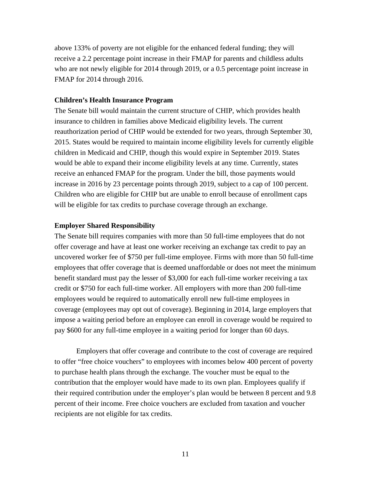above 133% of poverty are not eligible for the enhanced federal funding; they will receive a 2.2 percentage point increase in their FMAP for parents and childless adults who are not newly eligible for 2014 through 2019, or a 0.5 percentage point increase in FMAP for 2014 through 2016.

## **Children's Health Insurance Program**

The Senate bill would maintain the current structure of CHIP, which provides health insurance to children in families above Medicaid eligibility levels. The current reauthorization period of CHIP would be extended for two years, through September 30, 2015. States would be required to maintain income eligibility levels for currently eligible children in Medicaid and CHIP, though this would expire in September 2019. States would be able to expand their income eligibility levels at any time. Currently, states receive an enhanced FMAP for the program. Under the bill, those payments would increase in 2016 by 23 percentage points through 2019, subject to a cap of 100 percent. Children who are eligible for CHIP but are unable to enroll because of enrollment caps will be eligible for tax credits to purchase coverage through an exchange.

### **Employer Shared Responsibility**

The Senate bill requires companies with more than 50 full-time employees that do not offer coverage and have at least one worker receiving an exchange tax credit to pay an uncovered worker fee of \$750 per full-time employee. Firms with more than 50 full-time employees that offer coverage that is deemed unaffordable or does not meet the minimum benefit standard must pay the lesser of \$3,000 for each full-time worker receiving a tax credit or \$750 for each full-time worker. All employers with more than 200 full-time employees would be required to automatically enroll new full-time employees in coverage (employees may opt out of coverage). Beginning in 2014, large employers that impose a waiting period before an employee can enroll in coverage would be required to pay \$600 for any full-time employee in a waiting period for longer than 60 days.

Employers that offer coverage and contribute to the cost of coverage are required to offer "free choice vouchers" to employees with incomes below 400 percent of poverty to purchase health plans through the exchange. The voucher must be equal to the contribution that the employer would have made to its own plan. Employees qualify if their required contribution under the employer's plan would be between 8 percent and 9.8 percent of their income. Free choice vouchers are excluded from taxation and voucher recipients are not eligible for tax credits.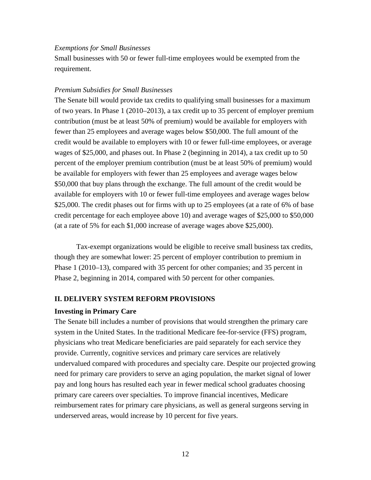### *Exemptions for Small Businesses*

Small businesses with 50 or fewer full-time employees would be exempted from the requirement.

#### *Premium Subsidies for Small Businesses*

The Senate bill would provide tax credits to qualifying small businesses for a maximum of two years. In Phase 1 (2010–2013), a tax credit up to 35 percent of employer premium contribution (must be at least 50% of premium) would be available for employers with fewer than 25 employees and average wages below \$50,000. The full amount of the credit would be available to employers with 10 or fewer full-time employees, or average wages of \$25,000, and phases out. In Phase 2 (beginning in 2014), a tax credit up to 50 percent of the employer premium contribution (must be at least 50% of premium) would be available for employers with fewer than 25 employees and average wages below \$50,000 that buy plans through the exchange. The full amount of the credit would be available for employers with 10 or fewer full-time employees and average wages below \$25,000. The credit phases out for firms with up to 25 employees (at a rate of 6% of base credit percentage for each employee above 10) and average wages of \$25,000 to \$50,000 (at a rate of 5% for each \$1,000 increase of average wages above \$25,000).

Tax-exempt organizations would be eligible to receive small business tax credits, though they are somewhat lower: 25 percent of employer contribution to premium in Phase 1 (2010–13), compared with 35 percent for other companies; and 35 percent in Phase 2, beginning in 2014, compared with 50 percent for other companies.

#### **II. DELIVERY SYSTEM REFORM PROVISIONS**

#### **Investing in Primary Care**

The Senate bill includes a number of provisions that would strengthen the primary care system in the United States. In the traditional Medicare fee-for-service (FFS) program, physicians who treat Medicare beneficiaries are paid separately for each service they provide. Currently, cognitive services and primary care services are relatively undervalued compared with procedures and specialty care. Despite our projected growing need for primary care providers to serve an aging population, the market signal of lower pay and long hours has resulted each year in fewer medical school graduates choosing primary care careers over specialties. To improve financial incentives, Medicare reimbursement rates for primary care physicians, as well as general surgeons serving in underserved areas, would increase by 10 percent for five years.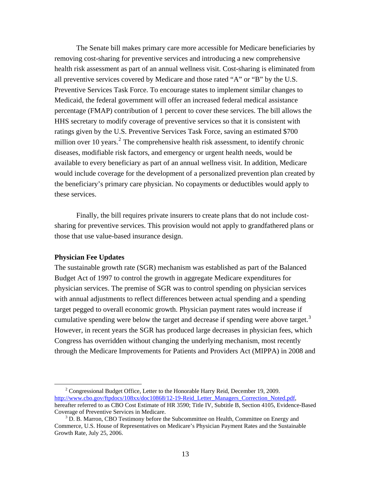The Senate bill makes primary care more accessible for Medicare beneficiaries by removing cost-sharing for preventive services and introducing a new comprehensive health risk assessment as part of an annual wellness visit. Cost-sharing is eliminated from all preventive services covered by Medicare and those rated "A" or "B" by the U.S. Preventive Services Task Force. To encourage states to implement similar changes to Medicaid, the federal government will offer an increased federal medical assistance percentage (FMAP) contribution of 1 percent to cover these services. The bill allows the HHS secretary to modify coverage of preventive services so that it is consistent with ratings given by the U.S. Preventive Services Task Force, saving an estimated \$700 million over 10 years.<sup>2</sup> The comprehensive health risk assessment, to identify chronic diseases, modifiable risk factors, and emergency or urgent health needs, would be available to every beneficiary as part of an annual wellness visit. In addition, Medicare would include coverage for the development of a personalized prevention plan created by the beneficiary's primary care physician. No copayments or deductibles would apply to these services.

Finally, the bill requires private insurers to create plans that do not include costsharing for preventive services. This provision would not apply to grandfathered plans or those that use value-based insurance design.

### **Physician Fee Updates**

The sustainable growth rate (SGR) mechanism was established as part of the Balanced Budget Act of 1997 to control the growth in aggregate Medicare expenditures for physician services. The premise of SGR was to control spending on physician services with annual adjustments to reflect differences between actual spending and a spending target pegged to overall economic growth. Physician payment rates would increase if cumulative spending were below the target and decrease if spending were above target.<sup>3</sup> However, in recent years the SGR has produced large decreases in physician fees, which Congress has overridden without changing the underlying mechanism, most recently through the Medicare Improvements for Patients and Providers Act (MIPPA) in 2008 and

 <sup>2</sup> <sup>2</sup> Congressional Budget Office, Letter to the Honorable Harry Reid, December 19, 2009. [http://www.cbo.gov/ftpdocs/108xx/doc10868/12-19-Reid\\_Letter\\_Managers\\_Correction\\_Noted.pdf,](http://www.cbo.gov/ftpdocs/108xx/doc10868/12-19-Reid_Letter_Managers_Correction_Noted.pdf) hereafter referred to as CBO Cost Estimate of HR 3590; Title IV, Subtitle B, Section 4105, Evidence-Based Coverage of Preventive Services in Medicare.

 $3$  D. B. Marron, CBO Testimony before the Subcommittee on Health, Committee on Energy and Commerce, U.S. House of Representatives on Medicare's Physician Payment Rates and the Sustainable Growth Rate, July 25, 2006.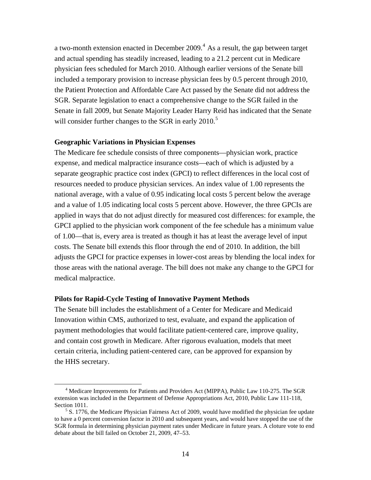a two-month extension enacted in December 2009.<sup>4</sup> As a result, the gap between target and actual spending has steadily increased, leading to a 21.2 percent cut in Medicare physician fees scheduled for March 2010. Although earlier versions of the Senate bill included a temporary provision to increase physician fees by 0.5 percent through 2010, the Patient Protection and Affordable Care Act passed by the Senate did not address the SGR. Separate legislation to enact a comprehensive change to the SGR failed in the Senate in fall 2009, but Senate Majority Leader Harry Reid has indicated that the Senate will consider further changes to the SGR in early  $2010$ .<sup>5</sup>

#### **Geographic Variations in Physician Expenses**

The Medicare fee schedule consists of three components—physician work, practice expense, and medical malpractice insurance costs—each of which is adjusted by a separate geographic practice cost index (GPCI) to reflect differences in the local cost of resources needed to produce physician services. An index value of 1.00 represents the national average, with a value of 0.95 indicating local costs 5 percent below the average and a value of 1.05 indicating local costs 5 percent above. However, the three GPCIs are applied in ways that do not adjust directly for measured cost differences: for example, the GPCI applied to the physician work component of the fee schedule has a minimum value of 1.00—that is, every area is treated as though it has at least the average level of input costs. The Senate bill extends this floor through the end of 2010. In addition, the bill adjusts the GPCI for practice expenses in lower-cost areas by blending the local index for those areas with the national average. The bill does not make any change to the GPCI for medical malpractice.

#### **Pilots for Rapid-Cycle Testing of Innovative Payment Methods**

The Senate bill includes the establishment of a Center for Medicare and Medicaid Innovation within CMS, authorized to test, evaluate, and expand the application of payment methodologies that would facilitate patient-centered care, improve quality, and contain cost growth in Medicare. After rigorous evaluation, models that meet certain criteria, including patient-centered care, can be approved for expansion by the HHS secretary.

 $\overline{4}$ <sup>4</sup> Medicare Improvements for Patients and Providers Act (MIPPA), Public Law 110-275. The SGR extension was included in the Department of Defense Appropriations Act, 2010, Public Law 111-118, Section 1011.

 $5$  S. 1776, the Medicare Physician Fairness Act of 2009, would have modified the physician fee update to have a 0 percent conversion factor in 2010 and subsequent years, and would have stopped the use of the SGR formula in determining physician payment rates under Medicare in future years. A cloture vote to end debate about the bill failed on October 21, 2009, 47–53.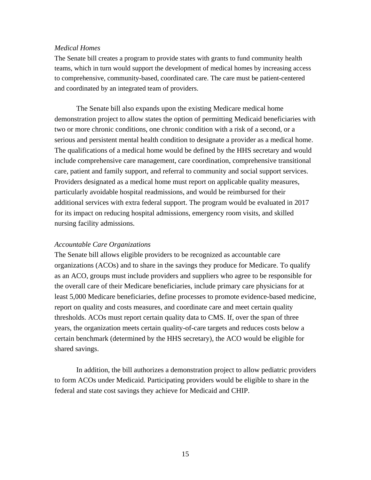## *Medical Homes*

The Senate bill creates a program to provide states with grants to fund community health teams, which in turn would support the development of medical homes by increasing access to comprehensive, community-based, coordinated care. The care must be patient-centered and coordinated by an integrated team of providers.

The Senate bill also expands upon the existing Medicare medical home demonstration project to allow states the option of permitting Medicaid beneficiaries with two or more chronic conditions, one chronic condition with a risk of a second, or a serious and persistent mental health condition to designate a provider as a medical home. The qualifications of a medical home would be defined by the HHS secretary and would include comprehensive care management, care coordination, comprehensive transitional care, patient and family support, and referral to community and social support services. Providers designated as a medical home must report on applicable quality measures, particularly avoidable hospital readmissions, and would be reimbursed for their additional services with extra federal support. The program would be evaluated in 2017 for its impact on reducing hospital admissions, emergency room visits, and skilled nursing facility admissions.

#### *Accountable Care Organizations*

The Senate bill allows eligible providers to be recognized as accountable care organizations (ACOs) and to share in the savings they produce for Medicare. To qualify as an ACO, groups must include providers and suppliers who agree to be responsible for the overall care of their Medicare beneficiaries, include primary care physicians for at least 5,000 Medicare beneficiaries, define processes to promote evidence-based medicine, report on quality and costs measures, and coordinate care and meet certain quality thresholds. ACOs must report certain quality data to CMS. If, over the span of three years, the organization meets certain quality-of-care targets and reduces costs below a certain benchmark (determined by the HHS secretary), the ACO would be eligible for shared savings.

In addition, the bill authorizes a demonstration project to allow pediatric providers to form ACOs under Medicaid. Participating providers would be eligible to share in the federal and state cost savings they achieve for Medicaid and CHIP.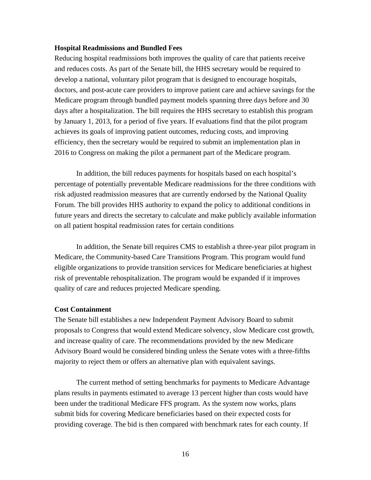#### **Hospital Readmissions and Bundled Fees**

Reducing hospital readmissions both improves the quality of care that patients receive and reduces costs. As part of the Senate bill, the HHS secretary would be required to develop a national, voluntary pilot program that is designed to encourage hospitals, doctors, and post-acute care providers to improve patient care and achieve savings for the Medicare program through bundled payment models spanning three days before and 30 days after a hospitalization. The bill requires the HHS secretary to establish this program by January 1, 2013, for a period of five years. If evaluations find that the pilot program achieves its goals of improving patient outcomes, reducing costs, and improving efficiency, then the secretary would be required to submit an implementation plan in 2016 to Congress on making the pilot a permanent part of the Medicare program.

In addition, the bill reduces payments for hospitals based on each hospital's percentage of potentially preventable Medicare readmissions for the three conditions with risk adjusted readmission measures that are currently endorsed by the National Quality Forum. The bill provides HHS authority to expand the policy to additional conditions in future years and directs the secretary to calculate and make publicly available information on all patient hospital readmission rates for certain conditions

In addition, the Senate bill requires CMS to establish a three-year pilot program in Medicare, the Community-based Care Transitions Program. This program would fund eligible organizations to provide transition services for Medicare beneficiaries at highest risk of preventable rehospitalization. The program would be expanded if it improves quality of care and reduces projected Medicare spending.

### **Cost Containment**

The Senate bill establishes a new Independent Payment Advisory Board to submit proposals to Congress that would extend Medicare solvency, slow Medicare cost growth, and increase quality of care. The recommendations provided by the new Medicare Advisory Board would be considered binding unless the Senate votes with a three-fifths majority to reject them or offers an alternative plan with equivalent savings.

The current method of setting benchmarks for payments to Medicare Advantage plans results in payments estimated to average 13 percent higher than costs would have been under the traditional Medicare FFS program. As the system now works, plans submit bids for covering Medicare beneficiaries based on their expected costs for providing coverage. The bid is then compared with benchmark rates for each county. If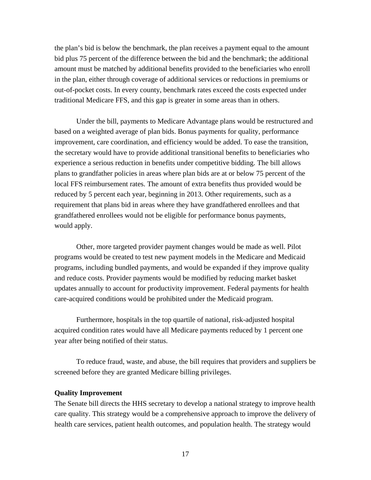the plan's bid is below the benchmark, the plan receives a payment equal to the amount bid plus 75 percent of the difference between the bid and the benchmark; the additional amount must be matched by additional benefits provided to the beneficiaries who enroll in the plan, either through coverage of additional services or reductions in premiums or out-of-pocket costs. In every county, benchmark rates exceed the costs expected under traditional Medicare FFS, and this gap is greater in some areas than in others.

Under the bill, payments to Medicare Advantage plans would be restructured and based on a weighted average of plan bids. Bonus payments for quality, performance improvement, care coordination, and efficiency would be added. To ease the transition, the secretary would have to provide additional transitional benefits to beneficiaries who experience a serious reduction in benefits under competitive bidding. The bill allows plans to grandfather policies in areas where plan bids are at or below 75 percent of the local FFS reimbursement rates. The amount of extra benefits thus provided would be reduced by 5 percent each year, beginning in 2013. Other requirements, such as a requirement that plans bid in areas where they have grandfathered enrollees and that grandfathered enrollees would not be eligible for performance bonus payments, would apply.

Other, more targeted provider payment changes would be made as well. Pilot programs would be created to test new payment models in the Medicare and Medicaid programs, including bundled payments, and would be expanded if they improve quality and reduce costs. Provider payments would be modified by reducing market basket updates annually to account for productivity improvement. Federal payments for health care-acquired conditions would be prohibited under the Medicaid program.

Furthermore, hospitals in the top quartile of national, risk-adjusted hospital acquired condition rates would have all Medicare payments reduced by 1 percent one year after being notified of their status.

To reduce fraud, waste, and abuse, the bill requires that providers and suppliers be screened before they are granted Medicare billing privileges.

### **Quality Improvement**

The Senate bill directs the HHS secretary to develop a national strategy to improve health care quality. This strategy would be a comprehensive approach to improve the delivery of health care services, patient health outcomes, and population health. The strategy would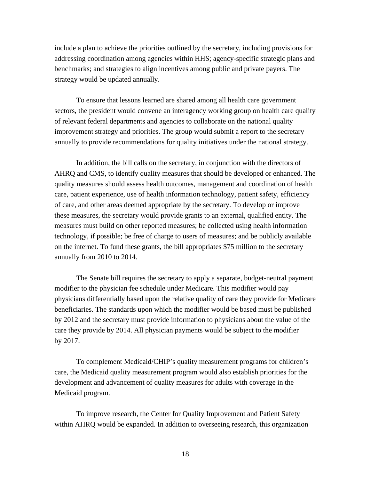include a plan to achieve the priorities outlined by the secretary, including provisions for addressing coordination among agencies within HHS; agency-specific strategic plans and benchmarks; and strategies to align incentives among public and private payers. The strategy would be updated annually.

To ensure that lessons learned are shared among all health care government sectors, the president would convene an interagency working group on health care quality of relevant federal departments and agencies to collaborate on the national quality improvement strategy and priorities. The group would submit a report to the secretary annually to provide recommendations for quality initiatives under the national strategy.

In addition, the bill calls on the secretary, in conjunction with the directors of AHRQ and CMS, to identify quality measures that should be developed or enhanced. The quality measures should assess health outcomes, management and coordination of health care, patient experience, use of health information technology, patient safety, efficiency of care, and other areas deemed appropriate by the secretary. To develop or improve these measures, the secretary would provide grants to an external, qualified entity. The measures must build on other reported measures; be collected using health information technology, if possible; be free of charge to users of measures; and be publicly available on the internet. To fund these grants, the bill appropriates \$75 million to the secretary annually from 2010 to 2014.

The Senate bill requires the secretary to apply a separate, budget-neutral payment modifier to the physician fee schedule under Medicare. This modifier would pay physicians differentially based upon the relative quality of care they provide for Medicare beneficiaries. The standards upon which the modifier would be based must be published by 2012 and the secretary must provide information to physicians about the value of the care they provide by 2014. All physician payments would be subject to the modifier by 2017.

To complement Medicaid/CHIP's quality measurement programs for children's care, the Medicaid quality measurement program would also establish priorities for the development and advancement of quality measures for adults with coverage in the Medicaid program.

To improve research, the Center for Quality Improvement and Patient Safety within AHRQ would be expanded. In addition to overseeing research, this organization

18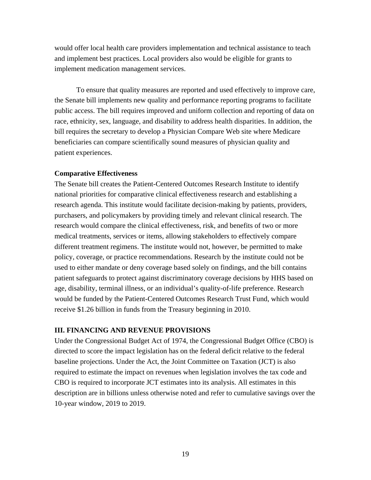would offer local health care providers implementation and technical assistance to teach and implement best practices. Local providers also would be eligible for grants to implement medication management services.

To ensure that quality measures are reported and used effectively to improve care, the Senate bill implements new quality and performance reporting programs to facilitate public access. The bill requires improved and uniform collection and reporting of data on race, ethnicity, sex, language, and disability to address health disparities. In addition, the bill requires the secretary to develop a Physician Compare Web site where Medicare beneficiaries can compare scientifically sound measures of physician quality and patient experiences.

## **Comparative Effectiveness**

The Senate bill creates the Patient-Centered Outcomes Research Institute to identify national priorities for comparative clinical effectiveness research and establishing a research agenda. This institute would facilitate decision-making by patients, providers, purchasers, and policymakers by providing timely and relevant clinical research. The research would compare the clinical effectiveness, risk, and benefits of two or more medical treatments, services or items, allowing stakeholders to effectively compare different treatment regimens. The institute would not, however, be permitted to make policy, coverage, or practice recommendations. Research by the institute could not be used to either mandate or deny coverage based solely on findings, and the bill contains patient safeguards to protect against discriminatory coverage decisions by HHS based on age, disability, terminal illness, or an individual's quality-of-life preference. Research would be funded by the Patient-Centered Outcomes Research Trust Fund, which would receive \$1.26 billion in funds from the Treasury beginning in 2010.

## **III. FINANCING AND REVENUE PROVISIONS**

Under the Congressional Budget Act of 1974, the Congressional Budget Office (CBO) is directed to score the impact legislation has on the federal deficit relative to the federal baseline projections. Under the Act, the Joint Committee on Taxation (JCT) is also required to estimate the impact on revenues when legislation involves the tax code and CBO is required to incorporate JCT estimates into its analysis. All estimates in this description are in billions unless otherwise noted and refer to cumulative savings over the 10-year window, 2019 to 2019.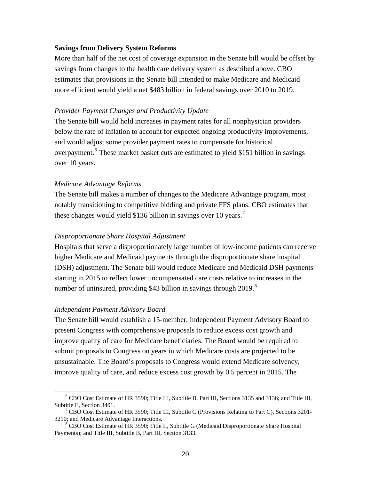#### **Savings from Delivery System Reforms**

More than half of the net cost of coverage expansion in the Senate bill would be offset by savings from changes to the health care delivery system as described above. CBO estimates that provisions in the Senate bill intended to make Medicare and Medicaid more efficient would yield a net \$483 billion in federal savings over 2010 to 2019.

### *Provider Payment Changes and Productivity Update*

The Senate bill would hold increases in payment rates for all nonphysician providers below the rate of inflation to account for expected ongoing productivity improvements, and would adjust some provider payment rates to compensate for historical overpayment.<sup>6</sup> These market basket cuts are estimated to yield \$151 billion in savings over 10 years.

### *Medicare Advantage Reforms*

The Senate bill makes a number of changes to the Medicare Advantage program, most notably transitioning to competitive bidding and private FFS plans. CBO estimates that these changes would yield \$136 billion in savings over 10 years.<sup>7</sup>

### *Disproportionate Share Hospital Adjustment*

Hospitals that serve a disproportionately large number of low-income patients can receive higher Medicare and Medicaid payments through the disproportionate share hospital (DSH) adjustment. The Senate bill would reduce Medicare and Medicaid DSH payments starting in 2015 to reflect lower uncompensated care costs relative to increases in the number of uninsured, providing \$43 billion in savings through  $2019$ .<sup>8</sup>

### *Independent Payment Advisory Board*

The Senate bill would establish a 15-member, Independent Payment Advisory Board to present Congress with comprehensive proposals to reduce excess cost growth and improve quality of care for Medicare beneficiaries. The Board would be required to submit proposals to Congress on years in which Medicare costs are projected to be unsustainable. The Board's proposals to Congress would extend Medicare solvency, improve quality of care, and reduce excess cost growth by 0.5 percent in 2015. The

 <sup>6</sup> <sup>6</sup> CBO Cost Estimate of HR 3590; Title III, Subtitle B, Part III, Sections 3135 and 3136; and Title III, Subtitle E, Section 3401.

<sup>&</sup>lt;sup>7</sup> CBO Cost Estimate of HR 3590; Title III, Subtitle C (Provisions Relating to Part C), Sections 3201-3210; and Medicare Advantage Interactions. 8

CBO Cost Estimate of HR 3590; Title II, Subtitle G (Medicaid Disproportionate Share Hospital Payments); and Title III, Subtitle B, Part III, Section 3133.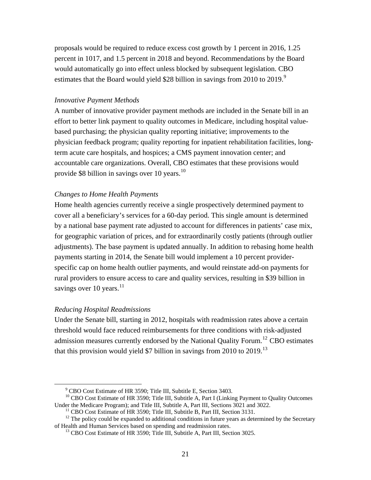proposals would be required to reduce excess cost growth by 1 percent in 2016, 1.25 percent in 1017, and 1.5 percent in 2018 and beyond. Recommendations by the Board would automatically go into effect unless blocked by subsequent legislation. CBO estimates that the Board would yield \$28 billion in savings from 2010 to 2019.<sup>9</sup>

## *Innovative Payment Methods*

A number of innovative provider payment methods are included in the Senate bill in an effort to better link payment to quality outcomes in Medicare, including hospital valuebased purchasing; the physician quality reporting initiative; improvements to the physician feedback program; quality reporting for inpatient rehabilitation facilities, longterm acute care hospitals, and hospices; a CMS payment innovation center; and accountable care organizations. Overall, CBO estimates that these provisions would provide \$8 billion in savings over 10 years. $^{10}$ 

## *Changes to Home Health Payments*

Home health agencies currently receive a single prospectively determined payment to cover all a beneficiary's services for a 60-day period. This single amount is determined by a national base payment rate adjusted to account for differences in patients' case mix, for geographic variation of prices, and for extraordinarily costly patients (through outlier adjustments). The base payment is updated annually. In addition to rebasing home health payments starting in 2014, the Senate bill would implement a 10 percent providerspecific cap on home health outlier payments, and would reinstate add-on payments for rural providers to ensure access to care and quality services, resulting in \$39 billion in savings over 10 years. $11$ 

### *Reducing Hospital Readmissions*

Under the Senate bill, starting in 2012, hospitals with readmission rates above a certain threshold would face reduced reimbursements for three conditions with risk-adjusted admission measures currently endorsed by the National Quality Forum.12 CBO estimates that this provision would yield \$7 billion in savings from 2010 to  $2019$ .<sup>13</sup>

 <sup>9</sup> CBO Cost Estimate of HR 3590; Title III, Subtitle E, Section 3403.

<sup>&</sup>lt;sup>10</sup> CBO Cost Estimate of HR 3590; Title III, Subtitle A, Part I (Linking Payment to Quality Outcomes Under the Medicare Program); and Title III, Subtitle A, Part III, Sections 3021 and 3022.

<sup>&</sup>lt;sup>11</sup> CBO Cost Estimate of HR 3590; Title III, Subtitle B, Part III, Section 3131.

 $12$  The policy could be expanded to additional conditions in future years as determined by the Secretary of Health and Human Services based on spending and readmission rates.

 $^{13}$  CBO Cost Estimate of HR 3590; Title III, Subtitle A, Part III, Section 3025.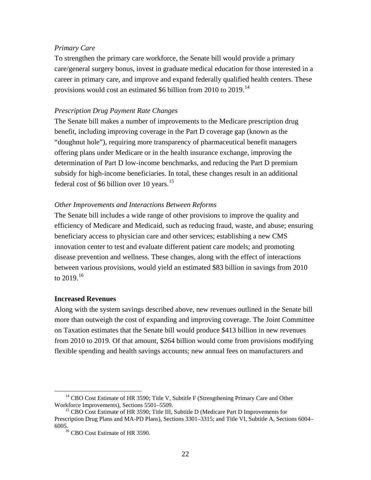### *Primary Care*

To strengthen the primary care workforce, the Senate bill would provide a primary care/general surgery bonus, invest in graduate medical education for those interested in a career in primary care, and improve and expand federally qualified health centers. These provisions would cost an estimated \$6 billion from 2010 to 2019.<sup>14</sup>

## *Prescription Drug Payment Rate Changes*

The Senate bill makes a number of improvements to the Medicare prescription drug benefit, including improving coverage in the Part D coverage gap (known as the "doughnut hole"), requiring more transparency of pharmaceutical benefit managers offering plans under Medicare or in the health insurance exchange, improving the determination of Part D low-income benchmarks, and reducing the Part D premium subsidy for high-income beneficiaries. In total, these changes result in an additional federal cost of \$6 billion over 10 years.<sup>15</sup>

## *Other Improvements and Interactions Between Reforms*

The Senate bill includes a wide range of other provisions to improve the quality and efficiency of Medicare and Medicaid, such as reducing fraud, waste, and abuse; ensuring beneficiary access to physician care and other services; establishing a new CMS innovation center to test and evaluate different patient care models; and promoting disease prevention and wellness. These changes, along with the effect of interactions between various provisions, would yield an estimated \$83 billion in savings from 2010 to  $2019.16$ 

### **Increased Revenues**

Along with the system savings described above, new revenues outlined in the Senate bill more than outweigh the cost of expanding and improving coverage. The Joint Committee on Taxation estimates that the Senate bill would produce \$413 billion in new revenues from 2010 to 2019. Of that amount, \$264 billion would come from provisions modifying flexible spending and health savings accounts; new annual fees on manufacturers and

<sup>&</sup>lt;sup>14</sup> CBO Cost Estimate of HR 3590; Title V, Subtitle F (Strengthening Primary Care and Other Workforce Improvements), Sections 5501–5509.<br><sup>15</sup> CBO Cost Estimate of HR 3590; Title III, Subtitle D (Medicare Part D Improvements for

Prescription Drug Plans and MA-PD Plans), Sections 3301–3315; and Title VI, Subtitle A, Sections 6004– 6005.  $^{16}$  CBO Cost Estimate of HR 3590.